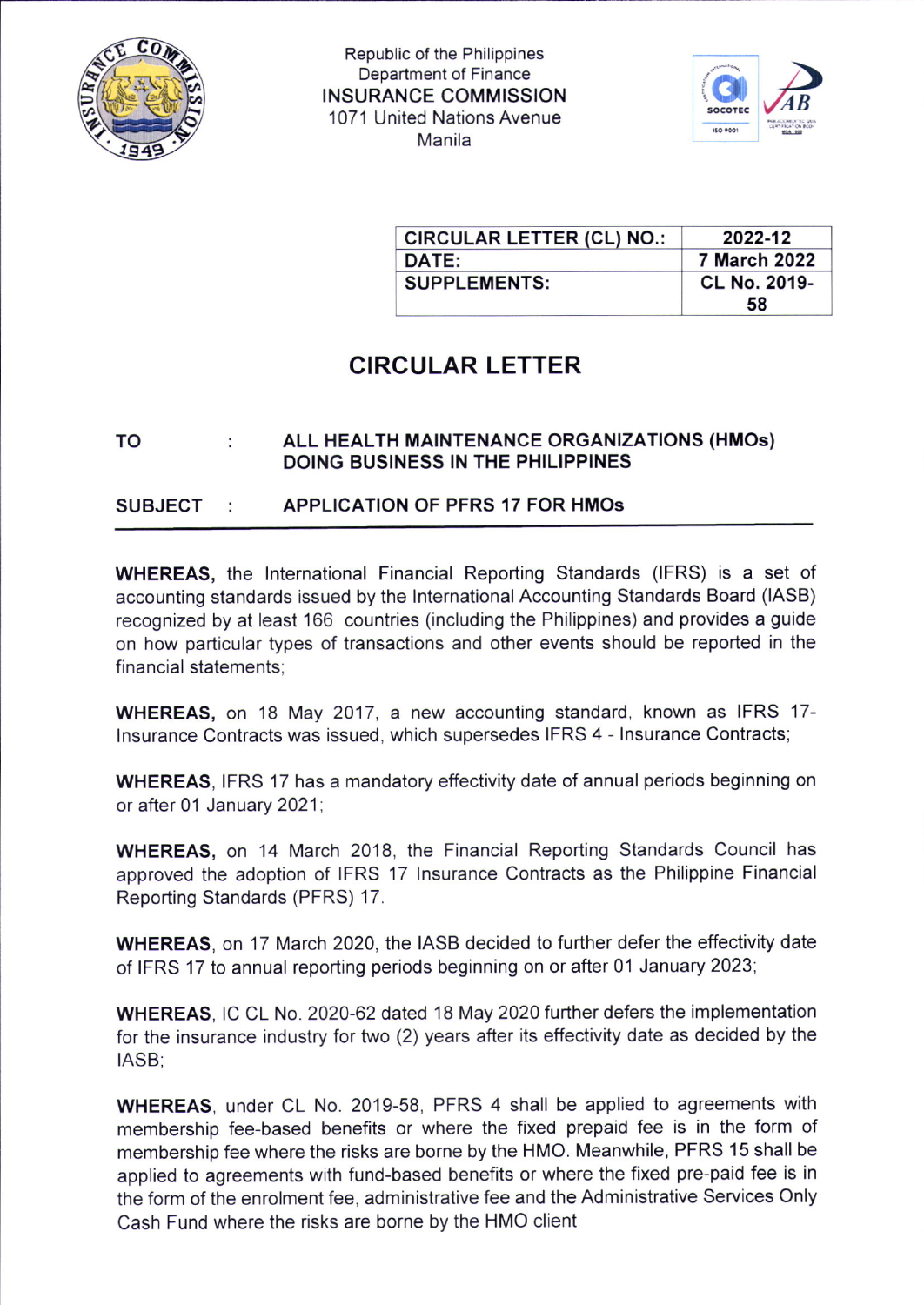

Republic of the Philippines Department of Finance INSURANCE COMMISSION 1071 United Nations Avenue <sup>M</sup>anila



| <b>CIRCULAR LETTER (CL) NO.:</b> | 2022-12             |
|----------------------------------|---------------------|
| DATE:                            | <b>7 March 2022</b> |
| <b>SUPPLEMENTS:</b>              | <b>CL No. 2019-</b> |
|                                  | 58                  |

# CIRCULAR LETTER

#### ALL HEALTH MAINTENANCE ORGANIZATIONS (HMOs) TO ÷ DOING BUSINESS IN THE PHILIPPINES

#### **SUBJECT** APPLICATION OF PFRS 17 FOR HMOs ÷

WHEREAS, the lnternational Financial Reporting Standards (IFRS) is a set of accounting standards issued by the lnternational Accounting Standards Board (IASB) recognized by at least 166 countries (including the Philippines) and provides a guide on how particular types of transactions and other events should be reported in the financial statements:

WHEREAS, on 18 May 2017, a new accounting standard, known as IFRS 17 lnsurance Contracts was issued, which supersedes IFRS 4 - lnsurance Contracts;

WHEREAS, IFRS 17 has a mandatory effectivity date of annual periods beginning on or after 01 January 2021;

WHEREAS, on 14 March 2018, the Financial Reporting Standards Council has approved the adoption of IFRS 17 lnsurance Contracts as the Philippine Financial Reporting Standards (PFRS) 17.

WHEREAS, on 17 March 2020, the IASB decided to further defer the effectivity date of IFRS 17 to annual reporting periods beginning on or after 01 January 2023;

WHEREAS, lC CL No. 2020-62 dated 18 May 2020 further defers the implementation for the insurance industry for two (2) years after its effectivity date as decided by the IASB;

WHEREAS, under CL No. 2019-58, PFRS 4 shall be applied to agreements with membership fee-based benefits or where the fixed prepaid fee is in the form of membership fee where the risks are borne by the HMO. Meanwhile, PFRS 15 shall be applied to agreements with fund-based benefits or where the fixed pre-paid fee is in the form of the enrolment fee, administrative fee and the Administrative Services Only Cash Fund where the risks are borne by the HMO client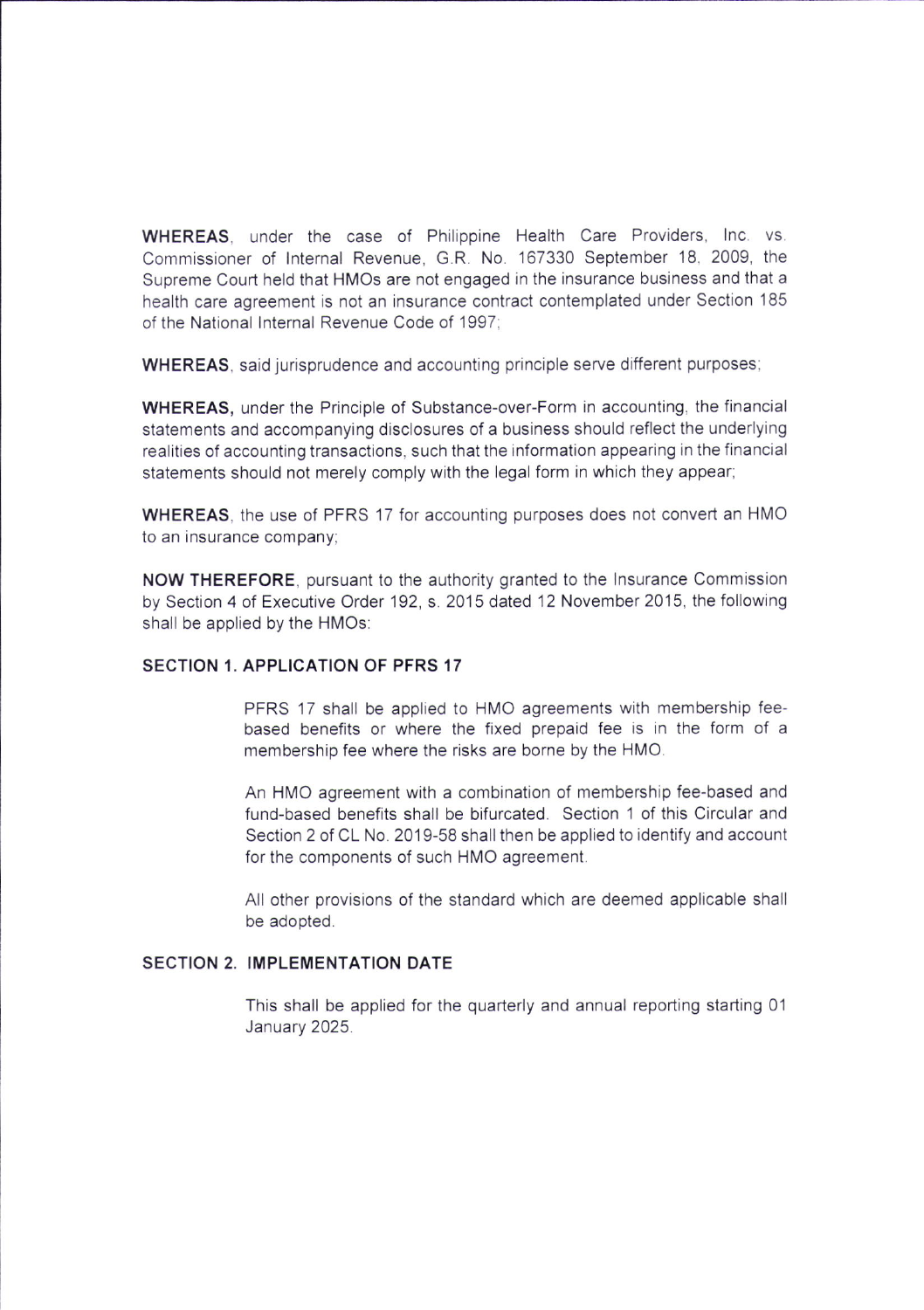WHEREAS. under the case of Philippine Health Care Providers, Inc. vs. Commissioner of Internal Revenue, G.R. No. 167330 September 18, 2009, the Supreme Court held that HMOS are not engaged in the insurance business and that a health care agreement is not an insurance contract contemplated under Section 185 of the National lnternal Revenue Code of 1997;

WHEREAS, said jurisprudence and accounting principle serve different purposes;

WHEREAS, under the Principle of Substance-over-Form in accounting, the financial statements and accompanying disclosures of a business should reflect the underlying realities of accounting transactions, such that the information appearing in the financial statements should not merely comply with the legal form in which they appear,

WHEREAS, the use of PFRS 17 for accounting purposes does not convert an HMO to an insurance company;

NOW THEREFORE, pursuant to the authority granted to the lnsurance Commission by Section 4 of Executive Order 192, s. 2015 dated 12 November 2015, the following shall be applied by the HMOs:

### SECTION 1, APPLICATION OF PFRS 17

PFRS 17 shall be applied to HMO agreements with membership feebased benefits or where the fixed prepaid fee is in the form of <sup>a</sup> membership fee where the risks are borne by the HMO.

An HMO agreement with a combination of membership fee-based and fund-based benefits shall be bifurcated. Section 1 of this Circular and Section 2 of CL No. 2019-58 shall then be applied to identify and account for the components of such HMO agreement.

All other provisions of the standard which are deemed applicable shall be adopted.

#### SECTION 2. IMPLEMENTATION DATE

This shall be applied for the quarterly and annual reporting starting 01 January 2025.